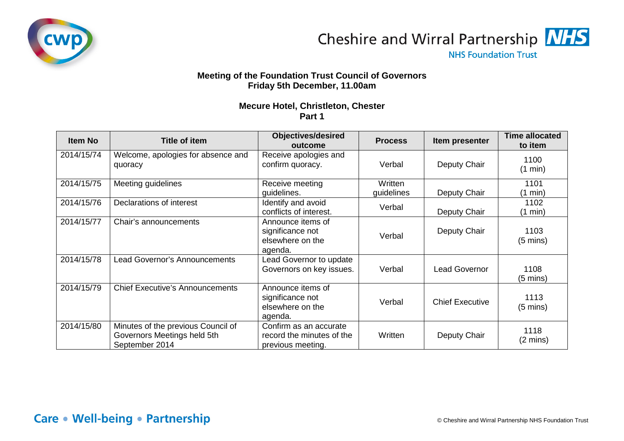



**NHS Foundation Trust** 

## **Meeting of the Foundation Trust Council of Governors Friday 5th December, 11.00am**

## **Mecure Hotel, Christleton, Chester Part 1**

| <b>Item No</b> | <b>Title of item</b>                                                                | <b>Objectives/desired</b><br>outcome                                     | <b>Process</b>        | Item presenter         | <b>Time allocated</b><br>to item |
|----------------|-------------------------------------------------------------------------------------|--------------------------------------------------------------------------|-----------------------|------------------------|----------------------------------|
| 2014/15/74     | Welcome, apologies for absence and<br>quoracy                                       | Receive apologies and<br>confirm quoracy.                                | Verbal                | Deputy Chair           | 1100<br>(1 min)                  |
| 2014/15/75     | Meeting guidelines                                                                  | Receive meeting<br>guidelines.                                           | Written<br>guidelines | Deputy Chair           | 1101<br>(1 min)                  |
| 2014/15/76     | Declarations of interest                                                            | Identify and avoid<br>conflicts of interest.                             | Verbal                | Deputy Chair           | 1102<br>$(1 \text{ min})$        |
| 2014/15/77     | Chair's announcements                                                               | Announce items of<br>significance not<br>elsewhere on the<br>agenda.     | Verbal                | Deputy Chair           | 1103<br>$(5 \text{ mins})$       |
| 2014/15/78     | <b>Lead Governor's Announcements</b>                                                | Lead Governor to update<br>Governors on key issues.                      | Verbal                | <b>Lead Governor</b>   | 1108<br>(5 mins)                 |
| 2014/15/79     | <b>Chief Executive's Announcements</b>                                              | Announce items of<br>significance not<br>elsewhere on the<br>agenda.     | Verbal                | <b>Chief Executive</b> | 1113<br>$(5 \text{ mins})$       |
| 2014/15/80     | Minutes of the previous Council of<br>Governors Meetings held 5th<br>September 2014 | Confirm as an accurate<br>record the minutes of the<br>previous meeting. | Written               | Deputy Chair           | 1118<br>$(2 \text{ mins})$       |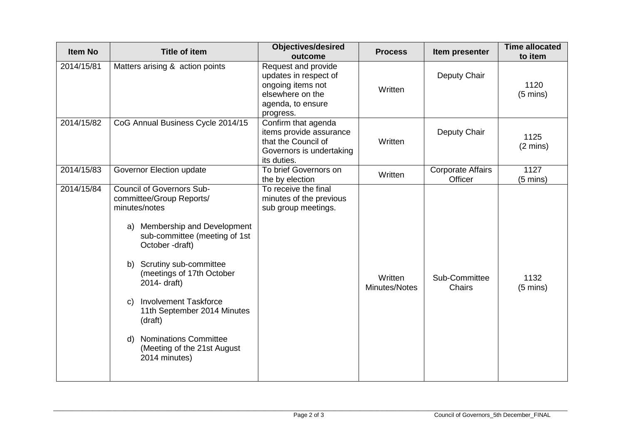| <b>Item No</b> | <b>Title of item</b>                                                                                                                                                                                                                                                                                                                                                                                                  | <b>Objectives/desired</b><br>outcome                                                                                    | <b>Process</b>           | Item presenter                      | <b>Time allocated</b><br>to item |
|----------------|-----------------------------------------------------------------------------------------------------------------------------------------------------------------------------------------------------------------------------------------------------------------------------------------------------------------------------------------------------------------------------------------------------------------------|-------------------------------------------------------------------------------------------------------------------------|--------------------------|-------------------------------------|----------------------------------|
| 2014/15/81     | Matters arising & action points                                                                                                                                                                                                                                                                                                                                                                                       | Request and provide<br>updates in respect of<br>ongoing items not<br>elsewhere on the<br>agenda, to ensure<br>progress. | Written                  | Deputy Chair                        | 1120<br>$(5 \text{ mins})$       |
| 2014/15/82     | CoG Annual Business Cycle 2014/15                                                                                                                                                                                                                                                                                                                                                                                     | Confirm that agenda<br>items provide assurance<br>that the Council of<br>Governors is undertaking<br>its duties.        | Written                  | Deputy Chair                        | 1125<br>$(2 \text{ mins})$       |
| 2014/15/83     | Governor Election update                                                                                                                                                                                                                                                                                                                                                                                              | To brief Governors on<br>the by election                                                                                | Written                  | <b>Corporate Affairs</b><br>Officer | 1127<br>$(5 \text{ mins})$       |
| 2014/15/84     | <b>Council of Governors Sub-</b><br>committee/Group Reports/<br>minutes/notes<br>a) Membership and Development<br>sub-committee (meeting of 1st<br>October -draft)<br>Scrutiny sub-committee<br>b)<br>(meetings of 17th October<br>2014- draft)<br><b>Involvement Taskforce</b><br>C)<br>11th September 2014 Minutes<br>(draft)<br><b>Nominations Committee</b><br>d)<br>(Meeting of the 21st August<br>2014 minutes) | To receive the final<br>minutes of the previous<br>sub group meetings.                                                  | Written<br>Minutes/Notes | Sub-Committee<br>Chairs             | 1132<br>$(5 \text{ mins})$       |